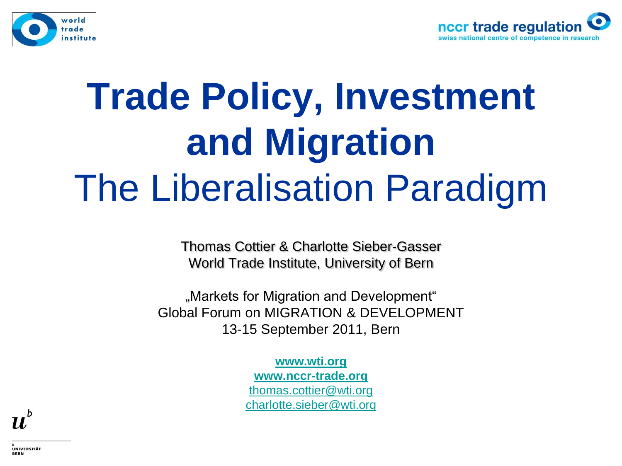



# **Trade Policy, Investment and Migration**  The Liberalisation Paradigm

Thomas Cottier & Charlotte Sieber-Gasser World Trade Institute, University of Bern

"Markets for Migration and Development" Global Forum on MIGRATION & DEVELOPMENT 13-15 September 2011, Bern

> **[www.wti.org](http://www.iew.unibe.ch/)  [www.nccr-trade.org](http://www.nccr-trade.org/)** [thomas.cottier@wti.org](mailto:thomas.cottier@wti.org) [charlotte.sieber@wti.org](mailto:Charlotte.sieber@wti.org)



\_b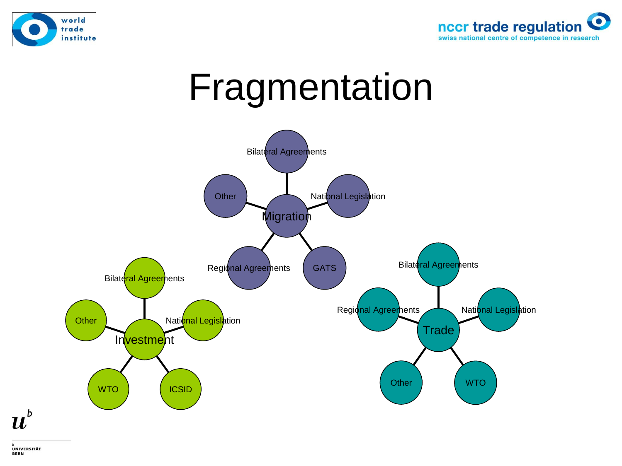



#### Fragmentation



UNIVERSITÄT **BERN** 

 $\boldsymbol{u}^{\textit{b}}$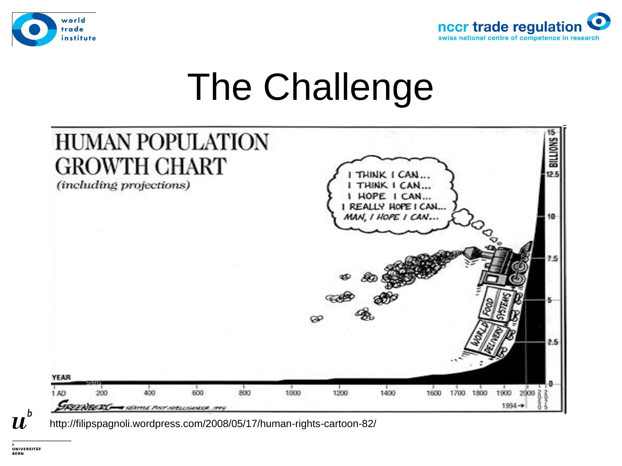



# The Challenge



http://filipspagnoli.wordpress.com/2008/05/17/human-rights-cartoon-82/

11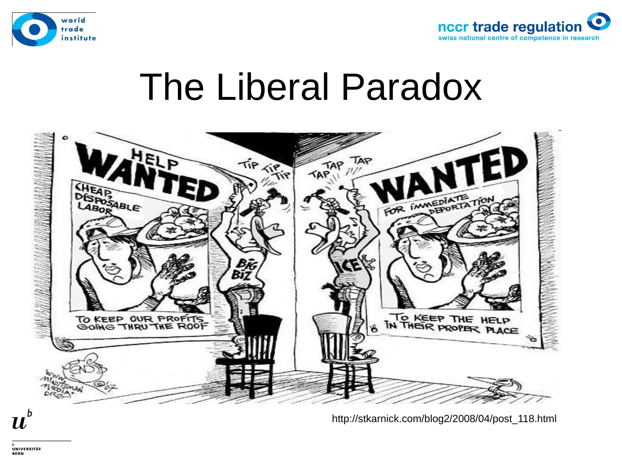



#### The Liberal Paradox



http://stkarnick.com/blog2/2008/04/post\_118.html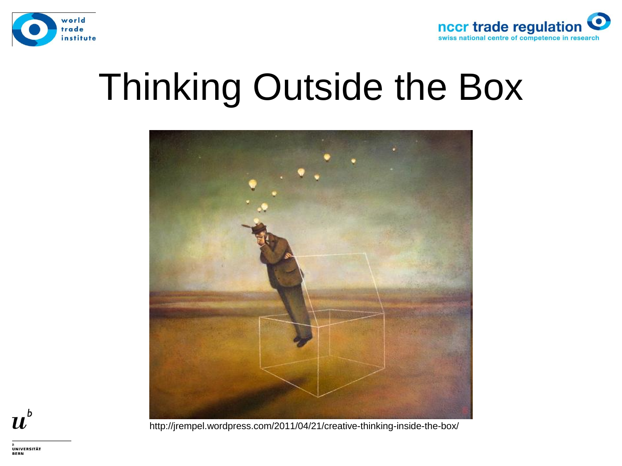



## Thinking Outside the Box



 $\boldsymbol{u}^{\textit{b}}$ 

http://jrempel.wordpress.com/2011/04/21/creative-thinking-inside-the-box/

**UNIVERSITÄT BERN**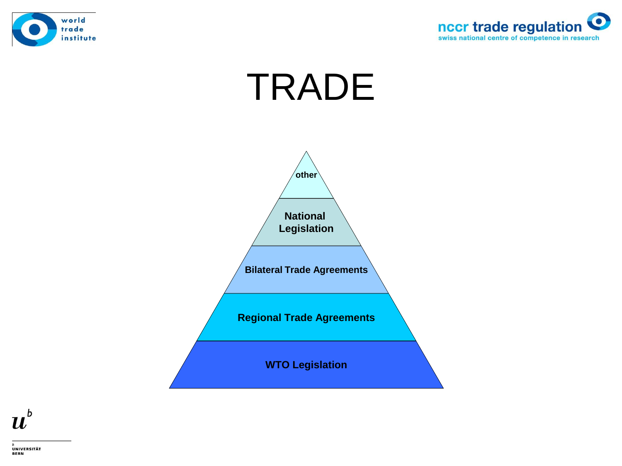



# TRADE



 $\boldsymbol{u}^{\textit{b}}$ 

**UNIVERSITÄT BERN**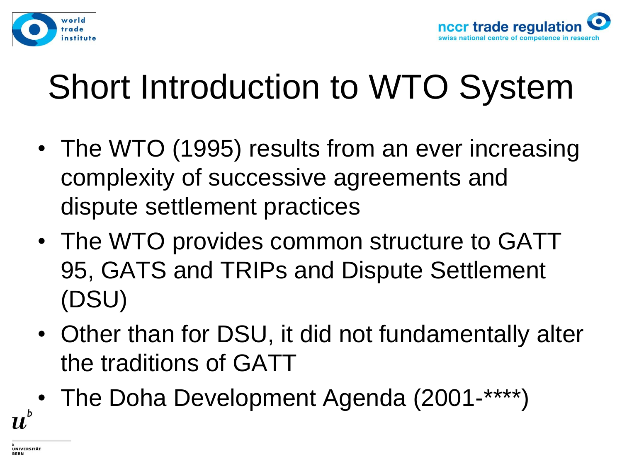



#### Short Introduction to WTO System

- The WTO (1995) results from an ever increasing complexity of successive agreements and dispute settlement practices
- The WTO provides common structure to GATT 95, GATS and TRIPs and Dispute Settlement (DSU)
- Other than for DSU, it did not fundamentally alter the traditions of GATT
- The Doha Development Agenda (2001-\*\*\*\*)

71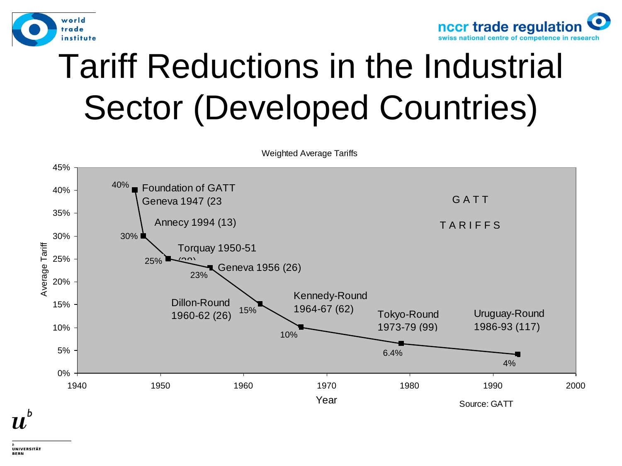



#### Tariff Reductions in the Industrial Sector (Developed Countries)

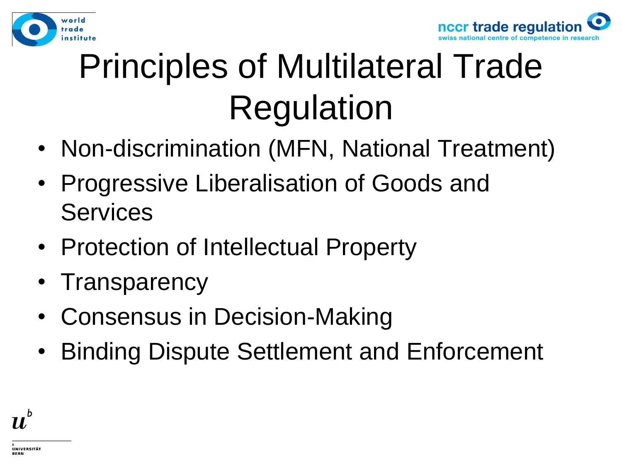



# Principles of Multilateral Trade Regulation

- Non-discrimination (MFN, National Treatment)
- Progressive Liberalisation of Goods and Services
- Protection of Intellectual Property
- Transparency
- Consensus in Decision-Making
- Binding Dispute Settlement and Enforcement

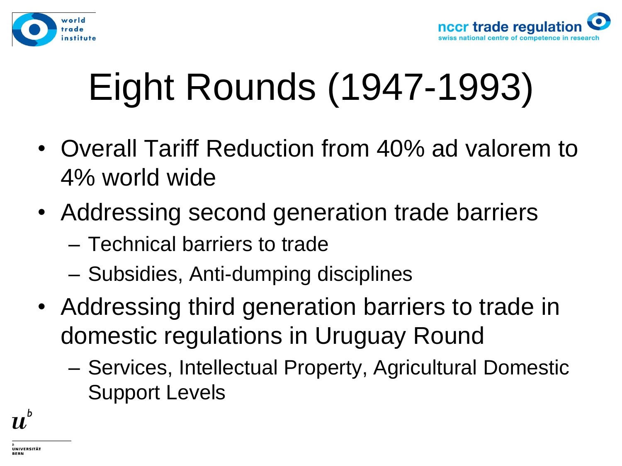



# Eight Rounds (1947-1993)

- Overall Tariff Reduction from 40% ad valorem to 4% world wide
- Addressing second generation trade barriers
	- Technical barriers to trade
	- Subsidies, Anti-dumping disciplines
- Addressing third generation barriers to trade in domestic regulations in Uruguay Round
	- Services, Intellectual Property, Agricultural Domestic Support Levels

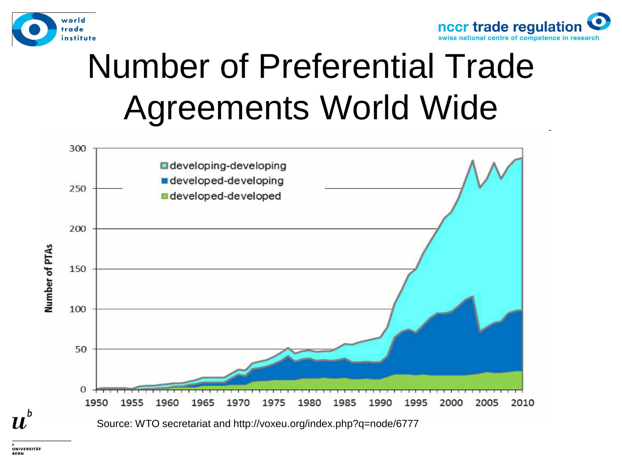



#### Number of Preferential Trade Agreements World Wide



UNIVERSITÄT

71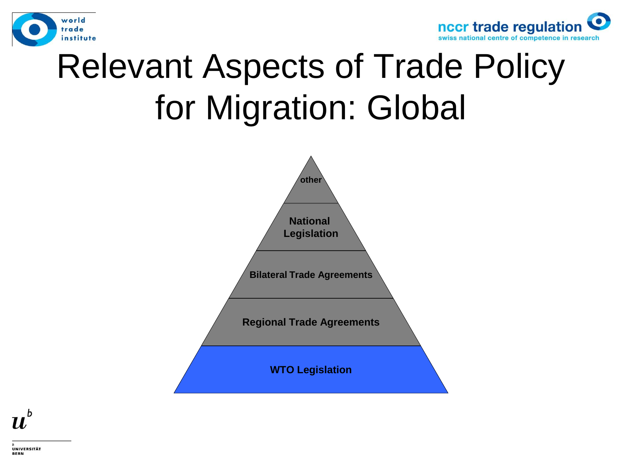



#### Relevant Aspects of Trade Policy for Migration: Global



 $\boldsymbol{u}^{\text{\tiny b}}$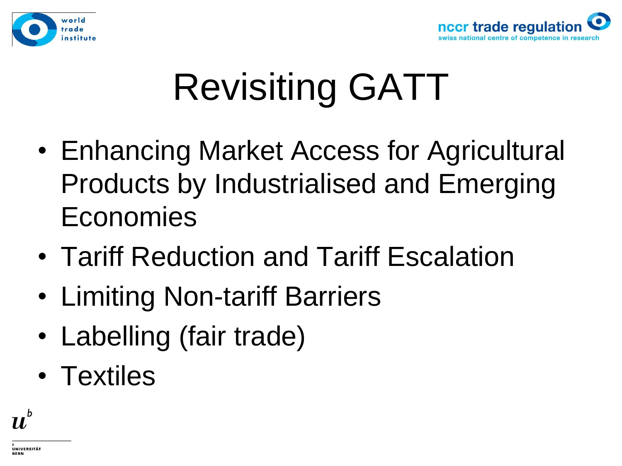



# Revisiting GATT

- Enhancing Market Access for Agricultural Products by Industrialised and Emerging Economies
- Tariff Reduction and Tariff Escalation
- Limiting Non-tariff Barriers
- Labelling (fair trade)
- Textiles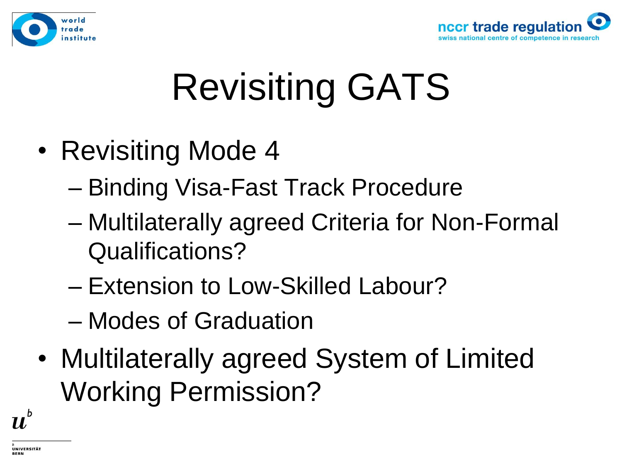



# Revisiting GATS

- Revisiting Mode 4
	- Binding Visa-Fast Track Procedure
	- Multilaterally agreed Criteria for Non-Formal Qualifications?
	- Extension to Low-Skilled Labour?
	- Modes of Graduation
- Multilaterally agreed System of Limited Working Permission?

 $\boldsymbol{u}^{\textit{b}}$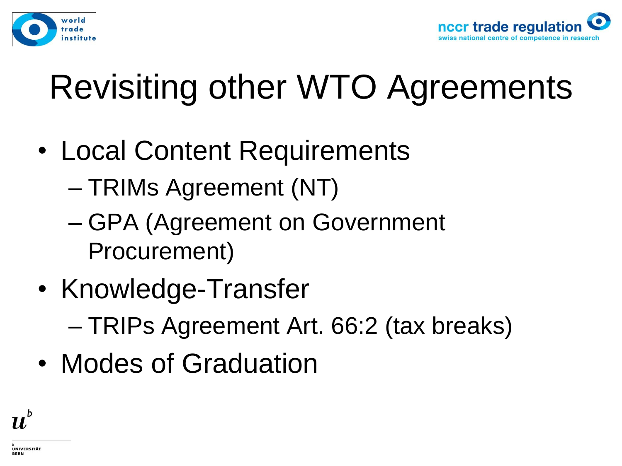



#### Revisiting other WTO Agreements

- Local Content Requirements
	- TRIMs Agreement (NT)
	- GPA (Agreement on Government Procurement)
- Knowledge-Transfer – TRIPs Agreement Art. 66:2 (tax breaks)
- Modes of Graduation

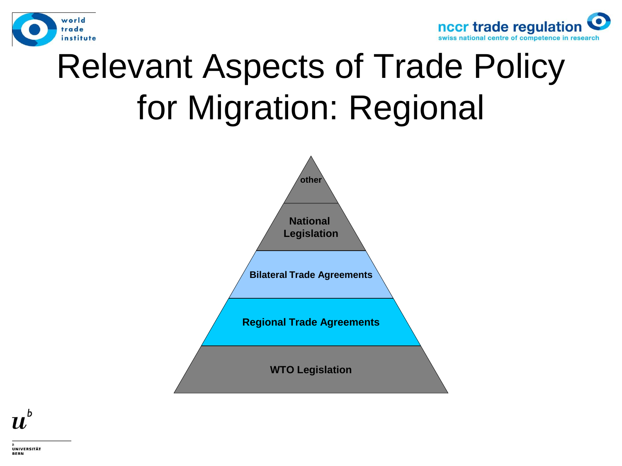



#### Relevant Aspects of Trade Policy for Migration: Regional



 $\boldsymbol{u}^{\text{\tiny b}}$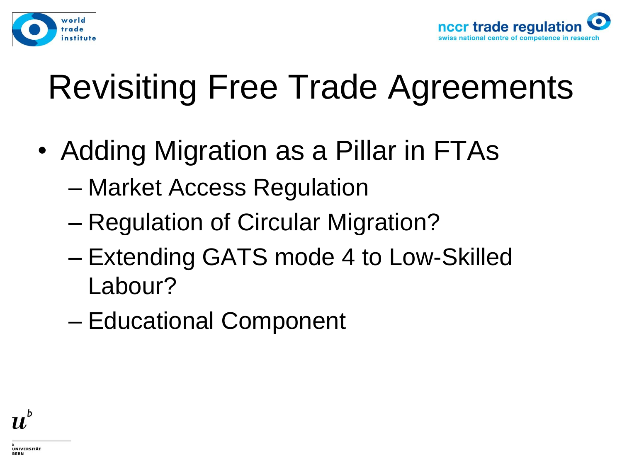



#### Revisiting Free Trade Agreements

- Adding Migration as a Pillar in FTAs
	- Market Access Regulation
	- Regulation of Circular Migration?
	- Extending GATS mode 4 to Low-Skilled Labour?
	- Educational Component

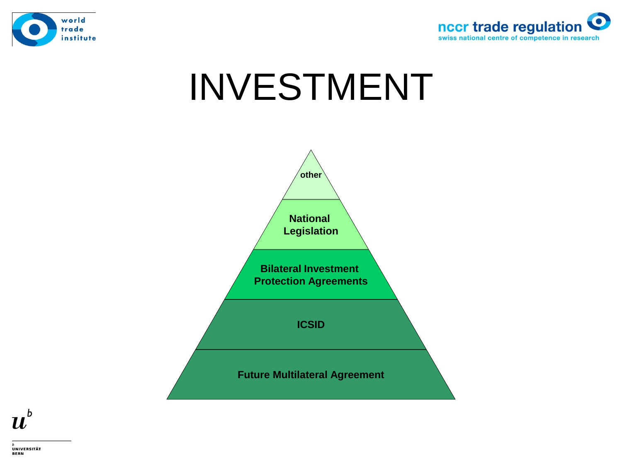



# INVESTMENT



 $\boldsymbol{u}^{\textit{b}}$ 

UNIVERSITÄT **BERN**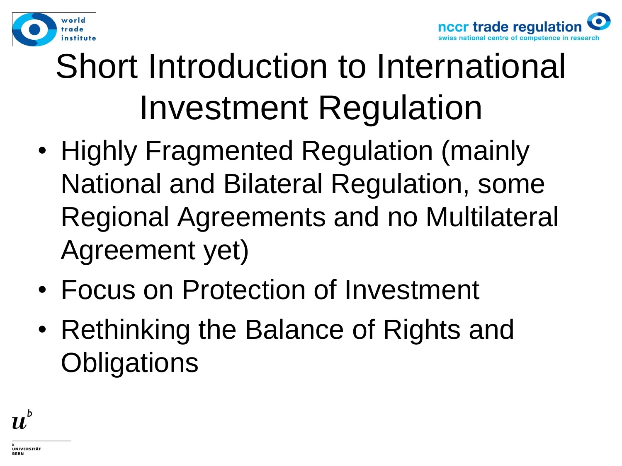



## Short Introduction to International Investment Regulation

- Highly Fragmented Regulation (mainly National and Bilateral Regulation, some Regional Agreements and no Multilateral Agreement yet)
- Focus on Protection of Investment
- Rethinking the Balance of Rights and **Obligations**

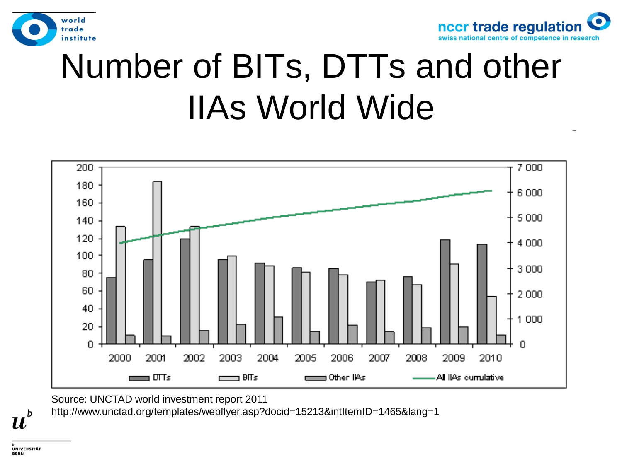



#### Number of BITs, DTTs and other IIAs World Wide



Source: UNCTAD world investment report 2011

http://www.unctad.org/templates/webflyer.asp?docid=15213&intItemID=1465&lang=1

UNIVERSITÄT

b  $\boldsymbol{u}$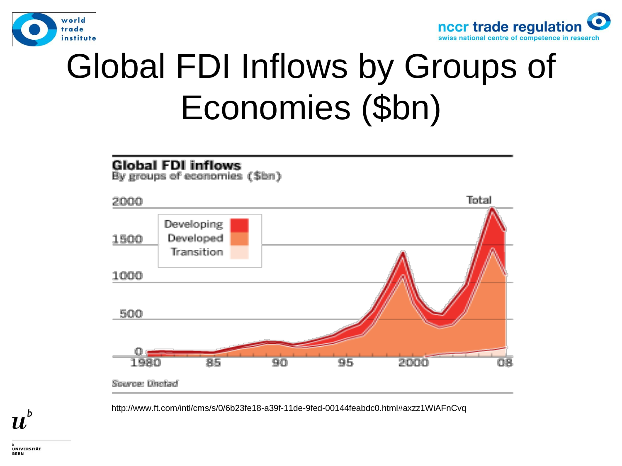



#### Global FDI Inflows by Groups of Economies (\$bn)



http://www.ft.com/intl/cms/s/0/6b23fe18-a39f-11de-9fed-00144feabdc0.html#axzz1WiAFnCvq

UNIVERSITÄT **BERN** 

 $\boldsymbol{u}^{\text{\tiny b}}$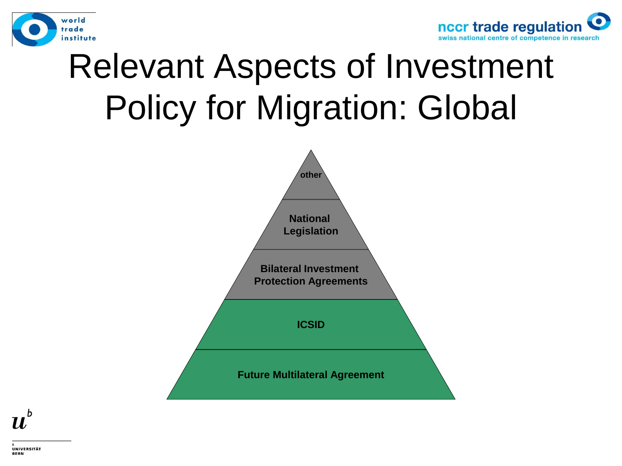



#### Relevant Aspects of Investment Policy for Migration: Global



 $\boldsymbol{u}^{\text{\tiny b}}$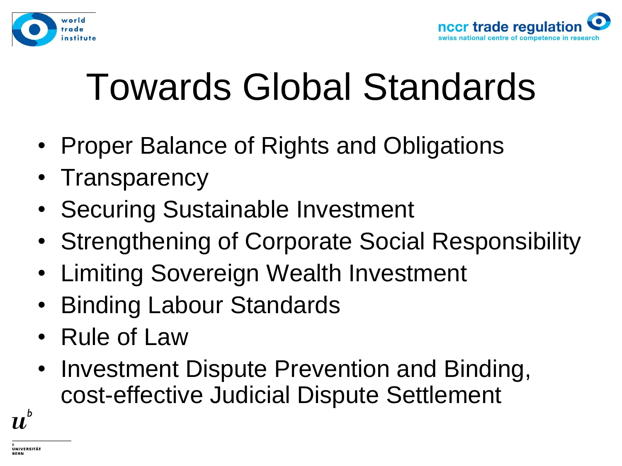



# Towards Global Standards

- Proper Balance of Rights and Obligations
- Transparency
- Securing Sustainable Investment
- Strengthening of Corporate Social Responsibility
- Limiting Sovereign Wealth Investment
- Binding Labour Standards
- Rule of Law
- Investment Dispute Prevention and Binding, cost-effective Judicial Dispute Settlement

 $\boldsymbol{u}^{\textit{b}}$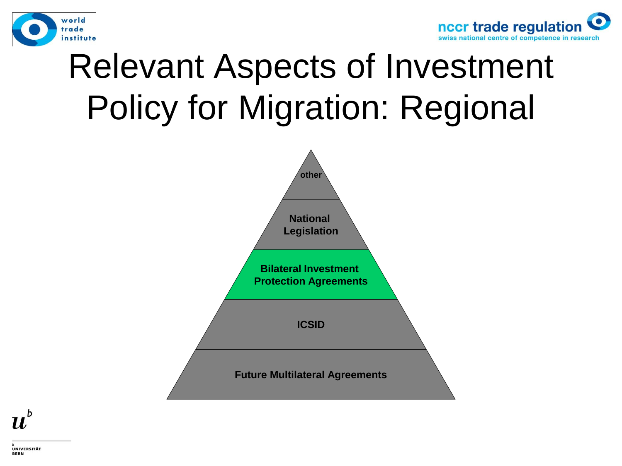



#### Relevant Aspects of Investment Policy for Migration: Regional



 $\boldsymbol{u}^{\text{\tiny b}}$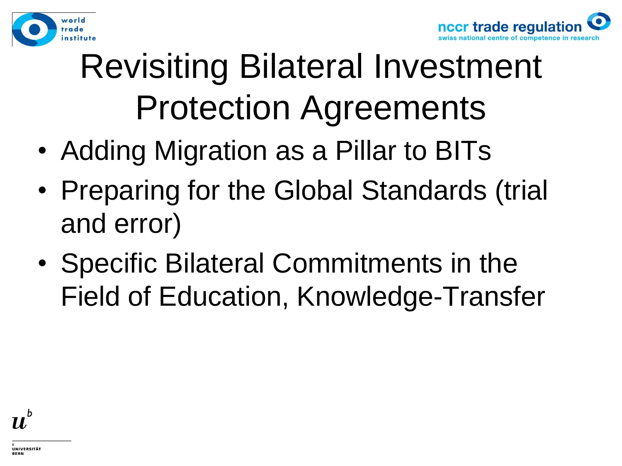



## Revisiting Bilateral Investment Protection Agreements

- Adding Migration as a Pillar to BITs
- Preparing for the Global Standards (trial and error)
- Specific Bilateral Commitments in the Field of Education, Knowledge-Transfer

$$
\boldsymbol{u}^{\flat}
$$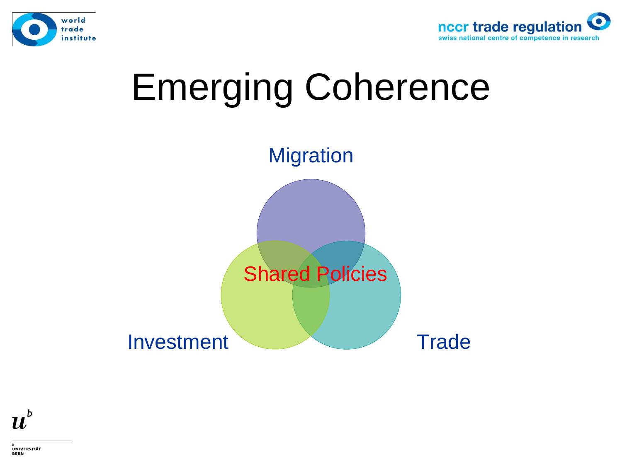









UNIVERSITÄT BERN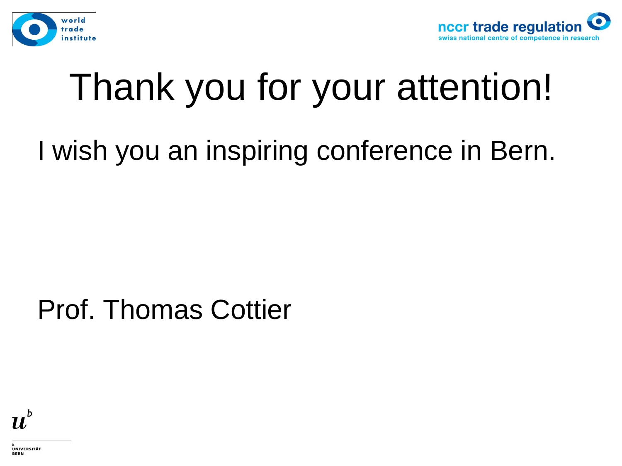



# Thank you for your attention!

#### I wish you an inspiring conference in Bern.

#### Prof. Thomas Cottier